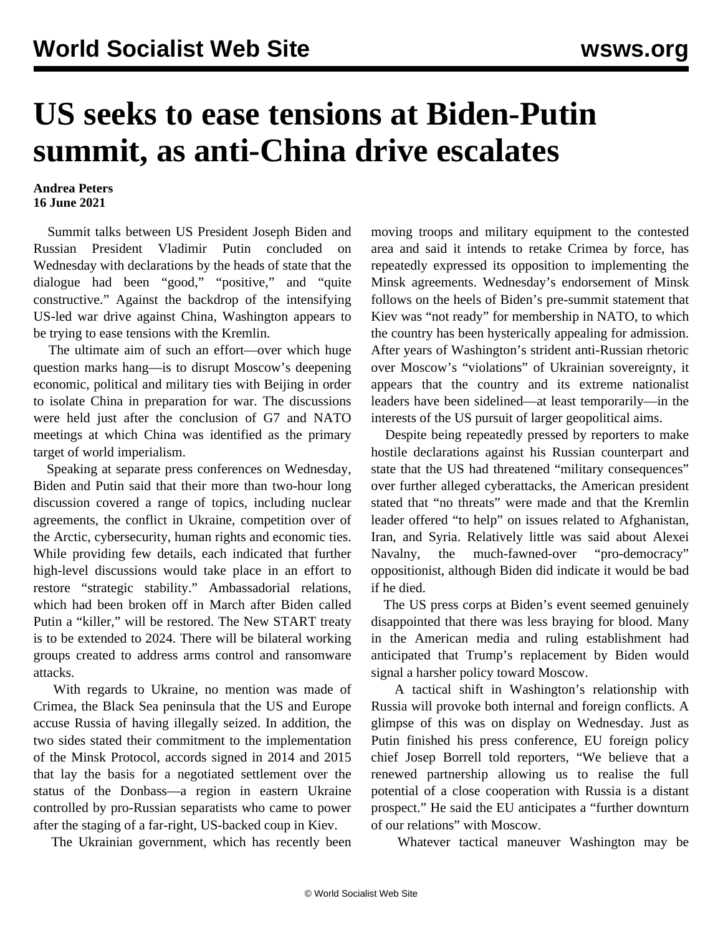## **US seeks to ease tensions at Biden-Putin summit, as anti-China drive escalates**

## **Andrea Peters 16 June 2021**

 Summit talks between US President Joseph Biden and Russian President Vladimir Putin concluded on Wednesday with declarations by the heads of state that the dialogue had been "good," "positive," and "quite constructive." Against the backdrop of the intensifying US-led war drive against China, Washington appears to be trying to ease tensions with the Kremlin.

 The ultimate aim of such an effort—over which huge question marks hang—is to disrupt Moscow's deepening economic, political and military ties with Beijing in order to isolate China in preparation for war. The discussions were held just after the conclusion of [G7](/en/articles/2021/06/14/gsev-j14.html) and [NATO](/en/articles/2021/06/15/nato-j15.html) meetings at which China was identified as the primary target of world imperialism.

 Speaking at separate press conferences on Wednesday, Biden and Putin said that their more than two-hour long discussion covered a range of topics, including nuclear agreements, the conflict in Ukraine, competition over of the Arctic, cybersecurity, human rights and economic ties. While providing few details, each indicated that further high-level discussions would take place in an effort to restore "strategic stability." Ambassadorial relations, which had been broken off in March after Biden called Putin a "killer," will be restored. The New START treaty is to be extended to 2024. There will be bilateral working groups created to address arms control and ransomware attacks.

 With regards to Ukraine, no mention was made of Crimea, the Black Sea peninsula that the US and Europe accuse Russia of having illegally seized. In addition, the two sides stated their commitment to the implementation of the Minsk Protocol, accords signed in 2014 and 2015 that lay the basis for a negotiated settlement over the status of the Donbass—a region in eastern Ukraine controlled by pro-Russian separatists who came to power after the staging of a far-right, US-backed coup in Kiev.

The Ukrainian government, which has recently been

moving troops and military equipment to the contested area and said it intends to retake Crimea by force, has repeatedly expressed its opposition to implementing the Minsk agreements. Wednesday's endorsement of Minsk follows on the heels of Biden's pre-summit statement that Kiev was "not ready" for membership in NATO, to which the country has been hysterically appealing for admission. After years of Washington's strident anti-Russian rhetoric over Moscow's "violations" of Ukrainian sovereignty, it appears that the country and its extreme nationalist leaders have been sidelined—at least temporarily—in the interests of the US pursuit of larger geopolitical aims.

 Despite being repeatedly pressed by reporters to make hostile declarations against his Russian counterpart and state that the US had threatened "military consequences" over further alleged cyberattacks, the American president stated that "no threats" were made and that the Kremlin leader offered "to help" on issues related to Afghanistan, Iran, and Syria. Relatively little was said about Alexei Navalny, the much-fawned-over "pro-democracy" oppositionist, although Biden did indicate it would be bad if he died.

 The US press corps at Biden's event seemed genuinely disappointed that there was less braying for blood. Many in the American media and ruling establishment had anticipated that Trump's replacement by Biden would signal a harsher policy toward Moscow.

 A tactical shift in Washington's relationship with Russia will provoke both internal and foreign conflicts. A glimpse of this was on display on Wednesday. Just as Putin finished his press conference, EU foreign policy chief Josep Borrell told reporters, "We believe that a renewed partnership allowing us to realise the full potential of a close cooperation with Russia is a distant prospect." He said the EU anticipates a "further downturn of our relations" with Moscow.

Whatever tactical maneuver Washington may be